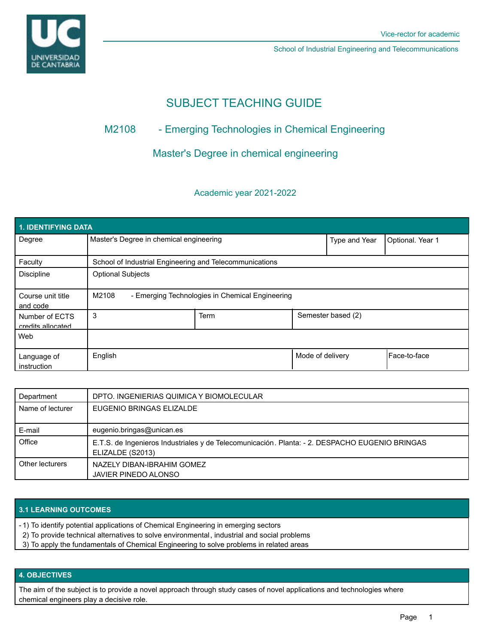

School of Industrial Engineering and Telecommunications

# SUBJECT TEACHING GUIDE

## M2108 - Emerging Technologies in Chemical Engineering

### Master's Degree in chemical engineering

### Academic year 2021-2022

| <b>1. IDENTIFYING DATA</b>          |                                                          |      |                  |                    |                      |  |  |  |
|-------------------------------------|----------------------------------------------------------|------|------------------|--------------------|----------------------|--|--|--|
| Degree                              | Master's Degree in chemical engineering                  |      | Type and Year    | Optional. Year 1   |                      |  |  |  |
| Faculty                             | School of Industrial Engineering and Telecommunications  |      |                  |                    |                      |  |  |  |
| <b>Discipline</b>                   | <b>Optional Subjects</b>                                 |      |                  |                    |                      |  |  |  |
| Course unit title<br>and code       | M2108<br>- Emerging Technologies in Chemical Engineering |      |                  |                    |                      |  |  |  |
| Number of ECTS<br>credits allocated | 3                                                        | Term |                  | Semester based (2) |                      |  |  |  |
| Web                                 |                                                          |      |                  |                    |                      |  |  |  |
| Language of<br>instruction          | English                                                  |      | Mode of delivery |                    | <b>IFace-to-face</b> |  |  |  |

| Department       | DPTO. INGENIERIAS QUIMICA Y BIOMOLECULAR                                                                           |
|------------------|--------------------------------------------------------------------------------------------------------------------|
| Name of lecturer | EUGENIO BRINGAS ELIZALDE                                                                                           |
| E-mail           | eugenio.bringas@unican.es                                                                                          |
| Office           | E.T.S. de Ingenieros Industriales y de Telecomunicación. Planta: - 2. DESPACHO EUGENIO BRINGAS<br>ELIZALDE (S2013) |
| Other lecturers  | NAZELY DIBAN-IBRAHIM GOMEZ<br>JAVIER PINEDO ALONSO                                                                 |

#### **3.1 LEARNING OUTCOMES**

- 1) To identify potential applications of Chemical Engineering in emerging sectors -
- 2) To provide technical alternatives to solve environmental, industrial and social problems
- 3) To apply the fundamentals of Chemical Engineering to solve problems in related areas

#### **4. OBJECTIVES**

The aim of the subject is to provide a novel approach through study cases of novel applications and technologies where chemical engineers play a decisive role.